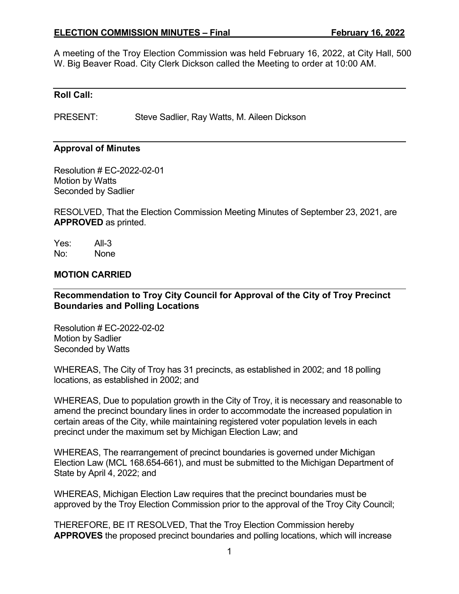#### **ELECTION COMMISSION MINUTES – Final February 16, 2022**

A meeting of the Troy Election Commission was held February 16, 2022, at City Hall, 500 W. Big Beaver Road. City Clerk Dickson called the Meeting to order at 10:00 AM.

#### **Roll Call:**

PRESENT: Steve Sadlier, Ray Watts, M. Aileen Dickson

#### **Approval of Minutes**

Resolution # EC-2022-02-01 Motion by Watts Seconded by Sadlier

RESOLVED, That the Election Commission Meeting Minutes of September 23, 2021, are **APPROVED** as printed.

Yes: All-3 No: None

#### **MOTION CARRIED**

**Recommendation to Troy City Council for Approval of the City of Troy Precinct Boundaries and Polling Locations** 

Resolution # EC-2022-02-02 Motion by Sadlier Seconded by Watts

WHEREAS, The City of Troy has 31 precincts, as established in 2002; and 18 polling locations, as established in 2002; and

WHEREAS, Due to population growth in the City of Troy, it is necessary and reasonable to amend the precinct boundary lines in order to accommodate the increased population in certain areas of the City, while maintaining registered voter population levels in each precinct under the maximum set by Michigan Election Law; and

WHEREAS, The rearrangement of precinct boundaries is governed under Michigan Election Law (MCL 168.654-661), and must be submitted to the Michigan Department of State by April 4, 2022; and

WHEREAS, Michigan Election Law requires that the precinct boundaries must be approved by the Troy Election Commission prior to the approval of the Troy City Council;

THEREFORE, BE IT RESOLVED, That the Troy Election Commission hereby **APPROVES** the proposed precinct boundaries and polling locations, which will increase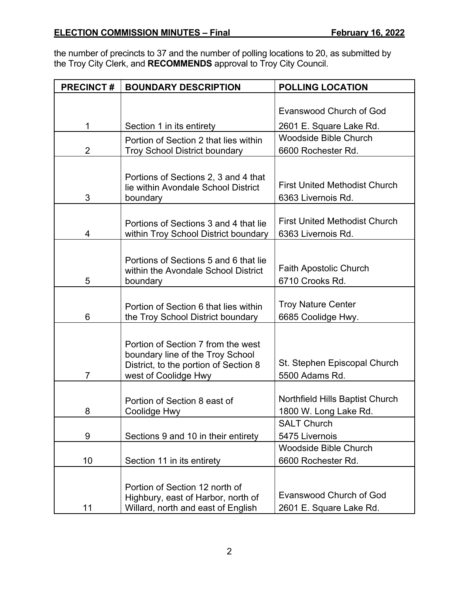the number of precincts to 37 and the number of polling locations to 20, as submitted by the Troy City Clerk, and **RECOMMENDS** approval to Troy City Council.

| <b>PRECINCT#</b> | <b>BOUNDARY DESCRIPTION</b>                                                   | <b>POLLING LOCATION</b>              |
|------------------|-------------------------------------------------------------------------------|--------------------------------------|
|                  |                                                                               |                                      |
|                  |                                                                               | Evanswood Church of God              |
| 1                | Section 1 in its entirety                                                     | 2601 E. Square Lake Rd.              |
|                  | Portion of Section 2 that lies within                                         | Woodside Bible Church                |
| $\overline{2}$   | <b>Troy School District boundary</b>                                          | 6600 Rochester Rd.                   |
|                  |                                                                               |                                      |
|                  | Portions of Sections 2, 3 and 4 that                                          |                                      |
|                  | lie within Avondale School District                                           | <b>First United Methodist Church</b> |
| 3                | boundary                                                                      | 6363 Livernois Rd.                   |
|                  |                                                                               | <b>First United Methodist Church</b> |
| 4                | Portions of Sections 3 and 4 that lie<br>within Troy School District boundary | 6363 Livernois Rd.                   |
|                  |                                                                               |                                      |
|                  | Portions of Sections 5 and 6 that lie                                         |                                      |
|                  | within the Avondale School District                                           | <b>Faith Apostolic Church</b>        |
| 5                | boundary                                                                      | 6710 Crooks Rd.                      |
|                  |                                                                               |                                      |
|                  | Portion of Section 6 that lies within                                         | <b>Troy Nature Center</b>            |
| 6                | the Troy School District boundary                                             | 6685 Coolidge Hwy.                   |
|                  |                                                                               |                                      |
|                  | Portion of Section 7 from the west<br>boundary line of the Troy School        |                                      |
|                  | District, to the portion of Section 8                                         | St. Stephen Episcopal Church         |
| $\overline{7}$   | west of Coolidge Hwy                                                          | 5500 Adams Rd.                       |
|                  |                                                                               |                                      |
|                  | Portion of Section 8 east of                                                  | Northfield Hills Baptist Church      |
| 8                | Coolidge Hwy                                                                  | 1800 W. Long Lake Rd.                |
|                  |                                                                               | <b>SALT Church</b>                   |
| 9                | Sections 9 and 10 in their entirety                                           | 5475 Livernois                       |
|                  |                                                                               | <b>Woodside Bible Church</b>         |
| 10               | Section 11 in its entirety                                                    | 6600 Rochester Rd.                   |
|                  |                                                                               |                                      |
|                  | Portion of Section 12 north of                                                | <b>Evanswood Church of God</b>       |
|                  | Highbury, east of Harbor, north of                                            |                                      |
| 11               | Willard, north and east of English                                            | 2601 E. Square Lake Rd.              |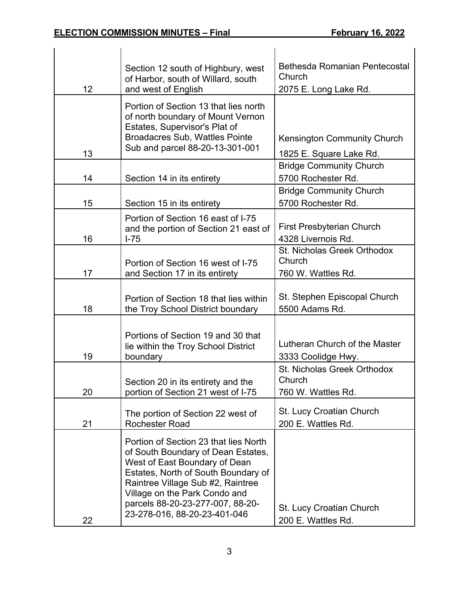|    | Section 12 south of Highbury, west<br>of Harbor, south of Willard, south                                                                                                                                                                                                                      | <b>Bethesda Romanian Pentecostal</b><br>Church              |
|----|-----------------------------------------------------------------------------------------------------------------------------------------------------------------------------------------------------------------------------------------------------------------------------------------------|-------------------------------------------------------------|
| 12 | and west of English                                                                                                                                                                                                                                                                           | 2075 E. Long Lake Rd.                                       |
| 13 | Portion of Section 13 that lies north<br>of north boundary of Mount Vernon<br>Estates, Supervisor's Plat of<br><b>Broadacres Sub, Wattles Pointe</b><br>Sub and parcel 88-20-13-301-001                                                                                                       | <b>Kensington Community Church</b>                          |
|    |                                                                                                                                                                                                                                                                                               | 1825 E. Square Lake Rd.                                     |
| 14 | Section 14 in its entirety                                                                                                                                                                                                                                                                    | <b>Bridge Community Church</b><br>5700 Rochester Rd.        |
| 15 | Section 15 in its entirety                                                                                                                                                                                                                                                                    | <b>Bridge Community Church</b><br>5700 Rochester Rd.        |
| 16 | Portion of Section 16 east of I-75<br>and the portion of Section 21 east of<br>$I-75$                                                                                                                                                                                                         | <b>First Presbyterian Church</b><br>4328 Livernois Rd.      |
| 17 | Portion of Section 16 west of I-75<br>and Section 17 in its entirety                                                                                                                                                                                                                          | St. Nicholas Greek Orthodox<br>Church<br>760 W. Wattles Rd. |
| 18 | Portion of Section 18 that lies within<br>the Troy School District boundary                                                                                                                                                                                                                   | St. Stephen Episcopal Church<br>5500 Adams Rd.              |
| 19 | Portions of Section 19 and 30 that<br>lie within the Troy School District<br>boundary                                                                                                                                                                                                         | Lutheran Church of the Master<br>3333 Coolidge Hwy.         |
| 20 | Section 20 in its entirety and the<br>portion of Section 21 west of I-75                                                                                                                                                                                                                      | St. Nicholas Greek Orthodox<br>Church<br>760 W. Wattles Rd. |
| 21 | The portion of Section 22 west of<br><b>Rochester Road</b>                                                                                                                                                                                                                                    | <b>St. Lucy Croatian Church</b><br>200 E. Wattles Rd.       |
| 22 | Portion of Section 23 that lies North<br>of South Boundary of Dean Estates,<br>West of East Boundary of Dean<br>Estates, North of South Boundary of<br>Raintree Village Sub #2, Raintree<br>Village on the Park Condo and<br>parcels 88-20-23-277-007, 88-20-<br>23-278-016, 88-20-23-401-046 | St. Lucy Croatian Church<br>200 E. Wattles Rd.              |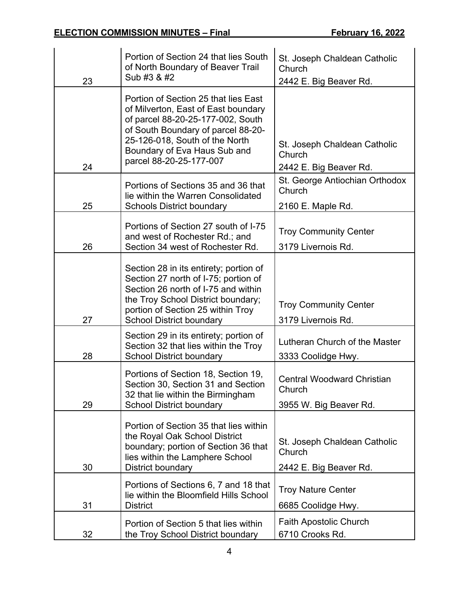|    | Portion of Section 24 that lies South                                                                                                                                                                                                               | St. Joseph Chaldean Catholic                                          |
|----|-----------------------------------------------------------------------------------------------------------------------------------------------------------------------------------------------------------------------------------------------------|-----------------------------------------------------------------------|
|    | of North Boundary of Beaver Trail                                                                                                                                                                                                                   | Church                                                                |
| 23 | Sub #3 & #2                                                                                                                                                                                                                                         | 2442 E. Big Beaver Rd.                                                |
| 24 | Portion of Section 25 that lies East<br>of Milverton, East of East boundary<br>of parcel 88-20-25-177-002, South<br>of South Boundary of parcel 88-20-<br>25-126-018, South of the North<br>Boundary of Eva Haus Sub and<br>parcel 88-20-25-177-007 | St. Joseph Chaldean Catholic<br>Church<br>2442 E. Big Beaver Rd.      |
|    | Portions of Sections 35 and 36 that<br>lie within the Warren Consolidated                                                                                                                                                                           | St. George Antiochian Orthodox<br>Church                              |
| 25 | <b>Schools District boundary</b>                                                                                                                                                                                                                    | 2160 E. Maple Rd.                                                     |
|    | Portions of Section 27 south of I-75<br>and west of Rochester Rd.; and                                                                                                                                                                              | <b>Troy Community Center</b>                                          |
| 26 | Section 34 west of Rochester Rd.                                                                                                                                                                                                                    | 3179 Livernois Rd.                                                    |
| 27 | Section 28 in its entirety; portion of<br>Section 27 north of I-75; portion of<br>Section 26 north of I-75 and within<br>the Troy School District boundary;<br>portion of Section 25 within Troy<br><b>School District boundary</b>                 | <b>Troy Community Center</b><br>3179 Livernois Rd.                    |
| 28 | Section 29 in its entirety; portion of<br>Section 32 that lies within the Troy<br><b>School District boundary</b>                                                                                                                                   | Lutheran Church of the Master<br>3333 Coolidge Hwy.                   |
| 29 | Portions of Section 18, Section 19,<br>Section 30, Section 31 and Section<br>32 that lie within the Birmingham<br><b>School District boundary</b>                                                                                                   | <b>Central Woodward Christian</b><br>Church<br>3955 W. Big Beaver Rd. |
| 30 | Portion of Section 35 that lies within<br>the Royal Oak School District<br>boundary; portion of Section 36 that<br>lies within the Lamphere School<br>District boundary                                                                             | St. Joseph Chaldean Catholic<br>Church<br>2442 E. Big Beaver Rd.      |
| 31 | Portions of Sections 6, 7 and 18 that<br>lie within the Bloomfield Hills School<br><b>District</b>                                                                                                                                                  | <b>Troy Nature Center</b><br>6685 Coolidge Hwy.                       |
| 32 | Portion of Section 5 that lies within<br>the Troy School District boundary                                                                                                                                                                          | <b>Faith Apostolic Church</b><br>6710 Crooks Rd.                      |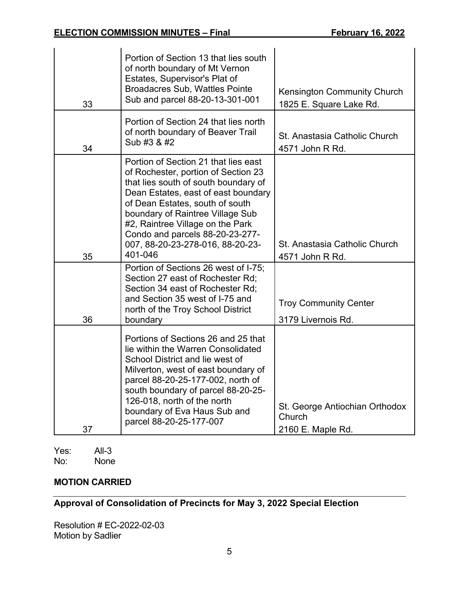| 33 | Portion of Section 13 that lies south<br>of north boundary of Mt Vernon<br>Estates, Supervisor's Plat of<br><b>Broadacres Sub, Wattles Pointe</b><br>Sub and parcel 88-20-13-301-001                                                                                                                                                                    | <b>Kensington Community Church</b><br>1825 E. Square Lake Rd. |
|----|---------------------------------------------------------------------------------------------------------------------------------------------------------------------------------------------------------------------------------------------------------------------------------------------------------------------------------------------------------|---------------------------------------------------------------|
| 34 | Portion of Section 24 that lies north<br>of north boundary of Beaver Trail<br>Sub #3 & #2                                                                                                                                                                                                                                                               | St. Anastasia Catholic Church<br>4571 John R Rd.              |
| 35 | Portion of Section 21 that lies east<br>of Rochester, portion of Section 23<br>that lies south of south boundary of<br>Dean Estates, east of east boundary<br>of Dean Estates, south of south<br>boundary of Raintree Village Sub<br>#2, Raintree Village on the Park<br>Condo and parcels 88-20-23-277-<br>007, 88-20-23-278-016, 88-20-23-<br>401-046 | St. Anastasia Catholic Church<br>4571 John R Rd.              |
| 36 | Portion of Sections 26 west of I-75;<br>Section 27 east of Rochester Rd;<br>Section 34 east of Rochester Rd:<br>and Section 35 west of I-75 and<br>north of the Troy School District<br>boundary                                                                                                                                                        | <b>Troy Community Center</b><br>3179 Livernois Rd.            |
| 37 | Portions of Sections 26 and 25 that<br>lie within the Warren Consolidated<br>School District and lie west of<br>Milverton, west of east boundary of<br>parcel 88-20-25-177-002, north of<br>south boundary of parcel 88-20-25-<br>126-018, north of the north<br>boundary of Eva Haus Sub and<br>parcel 88-20-25-177-007                                | St. George Antiochian Orthodox<br>Church<br>2160 E. Maple Rd. |

Yes: All-3<br>No: None **None** 

# **MOTION CARRIED**

# **Approval of Consolidation of Precincts for May 3, 2022 Special Election**

Resolution # EC-2022-02-03 Motion by Sadlier